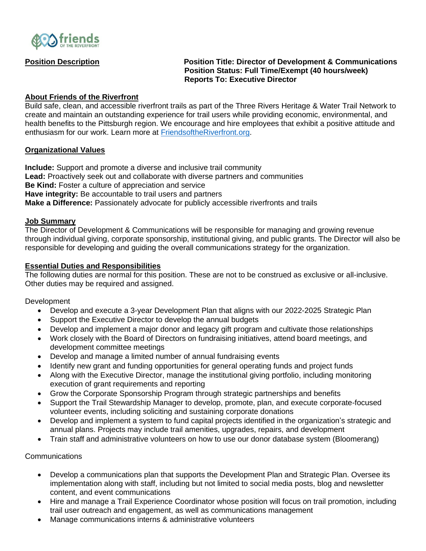

## **Position Description Position Title: Director of Development & Communications Position Status: Full Time/Exempt (40 hours/week) Reports To: Executive Director**

## **About Friends of the Riverfront**

Build safe, clean, and accessible riverfront trails as part of the Three Rivers Heritage & Water Trail Network to create and maintain an outstanding experience for trail users while providing economic, environmental, and health benefits to the Pittsburgh region. We encourage and hire employees that exhibit a positive attitude and enthusiasm for our work. Learn more at [FriendsoftheRiverfront.org.](https://friendsoftheriverfront.org/)

### **Organizational Values**

**Include:** Support and promote a diverse and inclusive trail community **Lead:** Proactively seek out and collaborate with diverse partners and communities **Be Kind:** Foster a culture of appreciation and service **Have integrity:** Be accountable to trail users and partners **Make a Difference:** Passionately advocate for publicly accessible riverfronts and trails

#### **Job Summary**

The Director of Development & Communications will be responsible for managing and growing revenue through individual giving, corporate sponsorship, institutional giving, and public grants. The Director will also be responsible for developing and guiding the overall communications strategy for the organization.

### **Essential Duties and Responsibilities**

The following duties are normal for this position. These are not to be construed as exclusive or all-inclusive. Other duties may be required and assigned.

**Development** 

- Develop and execute a 3-year Development Plan that aligns with our 2022-2025 Strategic Plan
- Support the Executive Director to develop the annual budgets
- Develop and implement a major donor and legacy gift program and cultivate those relationships
- Work closely with the Board of Directors on fundraising initiatives, attend board meetings, and development committee meetings
- Develop and manage a limited number of annual fundraising events
- Identify new grant and funding opportunities for general operating funds and project funds
- Along with the Executive Director, manage the institutional giving portfolio, including monitoring execution of grant requirements and reporting
- Grow the Corporate Sponsorship Program through strategic partnerships and benefits
- Support the Trail Stewardship Manager to develop, promote, plan, and execute corporate-focused volunteer events, including soliciting and sustaining corporate donations
- Develop and implement a system to fund capital projects identified in the organization's strategic and annual plans. Projects may include trail amenities, upgrades, repairs, and development
- Train staff and administrative volunteers on how to use our donor database system (Bloomerang)

Communications

- Develop a communications plan that supports the Development Plan and Strategic Plan. Oversee its implementation along with staff, including but not limited to social media posts, blog and newsletter content, and event communications
- Hire and manage a Trail Experience Coordinator whose position will focus on trail promotion, including trail user outreach and engagement, as well as communications management
- Manage communications interns & administrative volunteers